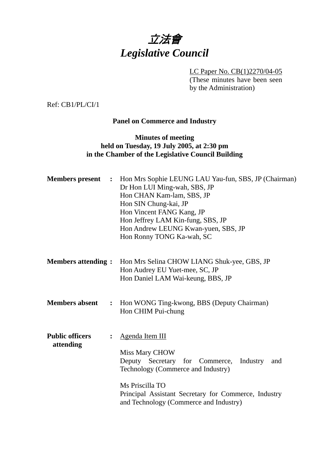

LC Paper No. CB(1)2270/04-05 (These minutes have been seen by the Administration)

Ref: CB1/PL/CI/1

# **Panel on Commerce and Industry**

## **Minutes of meeting held on Tuesday, 19 July 2005, at 2:30 pm in the Chamber of the Legislative Council Building**

| <b>Members</b> present              | $\mathbb{R}^2$ | Hon Mrs Sophie LEUNG LAU Yau-fun, SBS, JP (Chairman)<br>Dr Hon LUI Ming-wah, SBS, JP<br>Hon CHAN Kam-lam, SBS, JP<br>Hon SIN Chung-kai, JP<br>Hon Vincent FANG Kang, JP<br>Hon Jeffrey LAM Kin-fung, SBS, JP<br>Hon Andrew LEUNG Kwan-yuen, SBS, JP<br>Hon Ronny TONG Ka-wah, SC |
|-------------------------------------|----------------|----------------------------------------------------------------------------------------------------------------------------------------------------------------------------------------------------------------------------------------------------------------------------------|
| <b>Members attending:</b>           |                | Hon Mrs Selina CHOW LIANG Shuk-yee, GBS, JP<br>Hon Audrey EU Yuet-mee, SC, JP<br>Hon Daniel LAM Wai-keung, BBS, JP                                                                                                                                                               |
| <b>Members absent</b>               | $\ddot{\cdot}$ | Hon WONG Ting-kwong, BBS (Deputy Chairman)<br>Hon CHIM Pui-chung                                                                                                                                                                                                                 |
| <b>Public officers</b><br>attending | $\ddot{\cdot}$ | Agenda Item III<br>Miss Mary CHOW<br>Deputy Secretary for Commerce, Industry<br>and<br>Technology (Commerce and Industry)<br>Ms Priscilla TO<br>Principal Assistant Secretary for Commerce, Industry<br>and Technology (Commerce and Industry)                                   |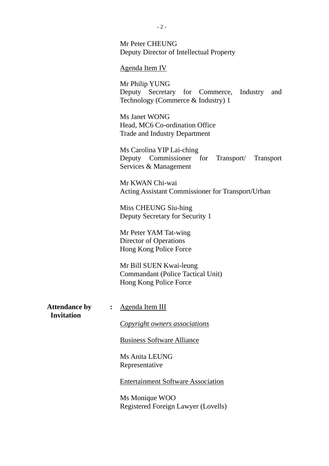Mr Peter CHEUNG Deputy Director of Intellectual Property

Agenda Item IV

Mr Philip YUNG Deputy Secretary for Commerce, Industry and Technology (Commerce & Industry) 1

Ms Janet WONG Head, MC6 Co-ordination Office Trade and Industry Department

Ms Carolina YIP Lai-ching Deputy Commissioner for Transport/ Transport Services & Management

Mr KWAN Chi-wai Acting Assistant Commissioner for Transport/Urban

Miss CHEUNG Siu-hing Deputy Secretary for Security 1

Mr Peter YAM Tat-wing Director of Operations Hong Kong Police Force

Mr Bill SUEN Kwai-leung Commandant (Police Tactical Unit) Hong Kong Police Force

Attendance by : Agenda Item III  **Invitation** 

*Copyright owners associations*

Business Software Alliance

Ms Anita LEUNG Representative

Entertainment Software Association

Ms Monique WOO Registered Foreign Lawyer (Lovells)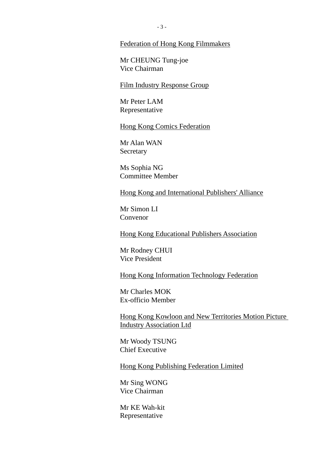#### Federation of Hong Kong Filmmakers

Mr CHEUNG Tung-joe Vice Chairman

Film Industry Response Group

Mr Peter LAM Representative

#### Hong Kong Comics Federation

Mr Alan WAN Secretary

Ms Sophia NG Committee Member

Hong Kong and International Publishers' Alliance

Mr Simon LI Convenor

Hong Kong Educational Publishers Association

Mr Rodney CHUI Vice President

Hong Kong Information Technology Federation

Mr Charles MOK Ex-officio Member

Hong Kong Kowloon and New Territories Motion Picture Industry Association Ltd

Mr Woody TSUNG Chief Executive

Hong Kong Publishing Federation Limited

Mr Sing WONG Vice Chairman

Mr KE Wah-kit Representative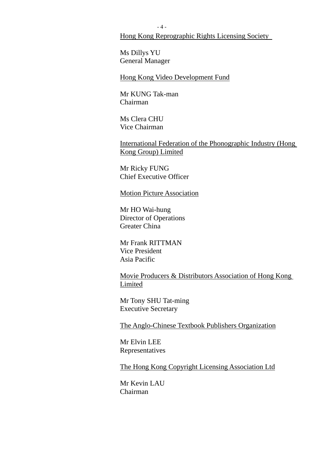Hong Kong Reprographic Rights Licensing Society

Ms Dillys YU General Manager

- 4 -

Hong Kong Video Development Fund

Mr KUNG Tak-man Chairman

Ms Clera CHU Vice Chairman

International Federation of the Phonographic Industry (Hong Kong Group) Limited

Mr Ricky FUNG Chief Executive Officer

Motion Picture Association

Mr HO Wai-hung Director of Operations Greater China

Mr Frank RITTMAN Vice President Asia Pacific

Movie Producers & Distributors Association of Hong Kong Limited

Mr Tony SHU Tat-ming Executive Secretary

The Anglo-Chinese Textbook Publishers Organization

Mr Elvin LEE Representatives

The Hong Kong Copyright Licensing Association Ltd

Mr Kevin LAU Chairman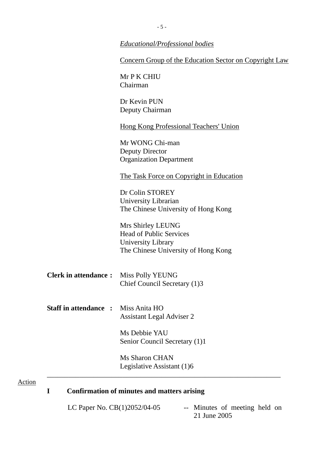#### *Educational/Professional bodies*

#### Concern Group of the Education Sector on Copyright Law

Mr P K CHIU Chairman

Dr Kevin PUN Deputy Chairman

Hong Kong Professional Teachers' Union

Mr WONG Chi-man Deputy Director Organization Department

The Task Force on Copyright in Education

Dr Colin STOREY University Librarian The Chinese University of Hong Kong

Mrs Shirley LEUNG Head of Public Services University Library The Chinese University of Hong Kong

- **Clerk in attendance :** Miss Polly YEUNG Chief Council Secretary (1)3
- **Staff in attendance :** Miss Anita HO Assistant Legal Adviser 2

Ms Debbie YAU Senior Council Secretary (1)1

\_\_\_\_\_\_\_\_\_\_\_\_\_\_\_\_\_\_\_\_\_\_\_\_\_\_\_\_\_\_\_\_\_\_\_\_\_\_\_\_\_\_\_\_\_\_\_\_\_\_\_\_\_\_\_\_\_\_\_\_\_\_\_\_\_

Ms Sharon CHAN Legislative Assistant (1)6

#### Action

## **I Confirmation of minutes and matters arising**

LC Paper No.  $CB(1)2052/04-05$  -- Minutes of meeting held on 21 June 2005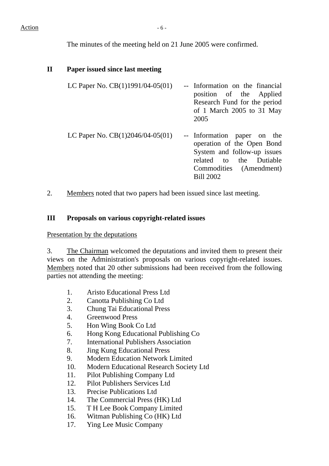The minutes of the meeting held on 21 June 2005 were confirmed.

#### **II Paper issued since last meeting**

- LC Paper No.  $CB(1)1991/04-05(01)$  -- Information on the financial position of the Applied Research Fund for the period of 1 March 2005 to 31 May 2005
- LC Paper No. CB(1)2046/04-05(01) -- Information paper on the operation of the Open Bond System and follow-up issues related to the Dutiable Commodities (Amendment) Bill 2002
- 2. Members noted that two papers had been issued since last meeting.

#### **III Proposals on various copyright-related issues**

Presentation by the deputations

3. The Chairman welcomed the deputations and invited them to present their views on the Administration's proposals on various copyright-related issues. Members noted that 20 other submissions had been received from the following parties not attending the meeting:

- 1. Aristo Educational Press Ltd
- 2. Canotta Publishing Co Ltd
- 3. Chung Tai Educational Press
- 4. Greenwood Press
- 5. Hon Wing Book Co Ltd
- 6. Hong Kong Educational Publishing Co
- 7. International Publishers Association
- 8. Jing Kung Educational Press
- 9. Modern Education Network Limited
- 10. Modern Educational Research Society Ltd
- 11. Pilot Publishing Company Ltd
- 12. Pilot Publishers Services Ltd
- 13. Precise Publications Ltd
- 14. The Commercial Press (HK) Ltd
- 15. T H Lee Book Company Limited
- 16. Witman Publishing Co (HK) Ltd
- 17. Ying Lee Music Company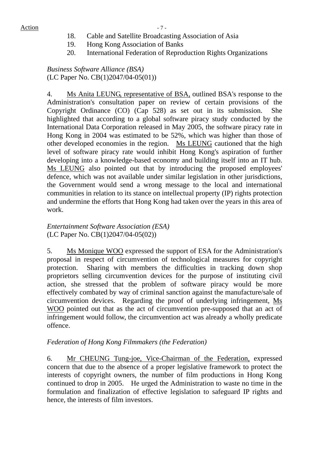- 18. Cable and Satellite Broadcasting Association of Asia
- 19. Hong Kong Association of Banks
- 20. International Federation of Reproduction Rights Organizations

*Business Software Alliance (BSA)*  (LC Paper No. CB(1)2047/04-05(01))

4. Ms Anita LEUNG, representative of BSA, outlined BSA's response to the Administration's consultation paper on review of certain provisions of the Copyright Ordinance (CO) (Cap 528) as set out in its submission. She highlighted that according to a global software piracy study conducted by the International Data Corporation released in May 2005, the software piracy rate in Hong Kong in 2004 was estimated to be 52%, which was higher than those of other developed economies in the region. Ms LEUNG cautioned that the high level of software piracy rate would inhibit Hong Kong's aspiration of further developing into a knowledge-based economy and building itself into an IT hub. Ms LEUNG also pointed out that by introducing the proposed employees' defence, which was not available under similar legislation in other jurisdictions, the Government would send a wrong message to the local and international communities in relation to its stance on intellectual property (IP) rights protection and undermine the efforts that Hong Kong had taken over the years in this area of work.

*Entertainment Software Association (ESA)*  (LC Paper No. CB(1)2047/04-05(02))

5. Ms Monique WOO expressed the support of ESA for the Administration's proposal in respect of circumvention of technological measures for copyright protection. Sharing with members the difficulties in tracking down shop proprietors selling circumvention devices for the purpose of instituting civil action, she stressed that the problem of software piracy would be more effectively combated by way of criminal sanction against the manufacture/sale of circumvention devices. Regarding the proof of underlying infringement, Ms WOO pointed out that as the act of circumvention pre-supposed that an act of infringement would follow, the circumvention act was already a wholly predicate offence.

## *Federation of Hong Kong Filmmakers (the Federation)*

6. Mr CHEUNG Tung-joe, Vice-Chairman of the Federation, expressed concern that due to the absence of a proper legislative framework to protect the interests of copyright owners, the number of film productions in Hong Kong continued to drop in 2005. He urged the Administration to waste no time in the formulation and finalization of effective legislation to safeguard IP rights and hence, the interests of film investors.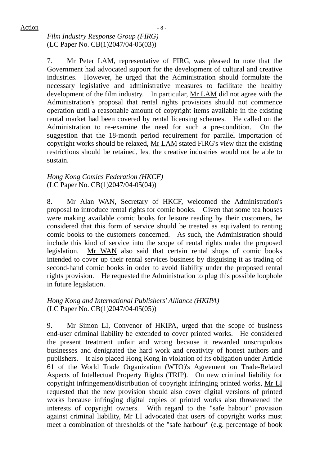#### *Film Industry Response Group (FIRG)*  (LC Paper No. CB(1)2047/04-05(03))

7. Mr Peter LAM, representative of FIRG, was pleased to note that the Government had advocated support for the development of cultural and creative industries. However, he urged that the Administration should formulate the necessary legislative and administrative measures to facilitate the healthy development of the film industry. In particular, Mr LAM did not agree with the Administration's proposal that rental rights provisions should not commence operation until a reasonable amount of copyright items available in the existing rental market had been covered by rental licensing schemes. He called on the Administration to re-examine the need for such a pre-condition. On the suggestion that the 18-month period requirement for parallel importation of copyright works should be relaxed, Mr LAM stated FIRG's view that the existing restrictions should be retained, lest the creative industries would not be able to sustain.

#### *Hong Kong Comics Federation (HKCF)*  (LC Paper No. CB(1)2047/04-05(04))

8. Mr Alan WAN, Secretary of HKCF, welcomed the Administration's proposal to introduce rental rights for comic books. Given that some tea houses were making available comic books for leisure reading by their customers, he considered that this form of service should be treated as equivalent to renting comic books to the customers concerned. As such, the Administration should include this kind of service into the scope of rental rights under the proposed legislation. Mr WAN also said that certain rental shops of comic books intended to cover up their rental services business by disguising it as trading of second-hand comic books in order to avoid liability under the proposed rental rights provision. He requested the Administration to plug this possible loophole in future legislation.

## *Hong Kong and International Publishers' Alliance (HKIPA)*  (LC Paper No. CB(1)2047/04-05(05))

9. Mr Simon LI, Convenor of HKIPA, urged that the scope of business end-user criminal liability be extended to cover printed works. He considered the present treatment unfair and wrong because it rewarded unscrupulous businesses and denigrated the hard work and creativity of honest authors and publishers. It also placed Hong Kong in violation of its obligation under Article 61 of the World Trade Organization (WTO)'s Agreement on Trade-Related Aspects of Intellectual Property Rights (TRIP). On new criminal liability for copyright infringement/distribution of copyright infringing printed works, Mr LI requested that the new provision should also cover digital versions of printed works because infringing digital copies of printed works also threatened the interests of copyright owners. With regard to the "safe habour" provision against criminal liability, Mr LI advocated that users of copyright works must meet a combination of thresholds of the "safe harbour" (e.g. percentage of book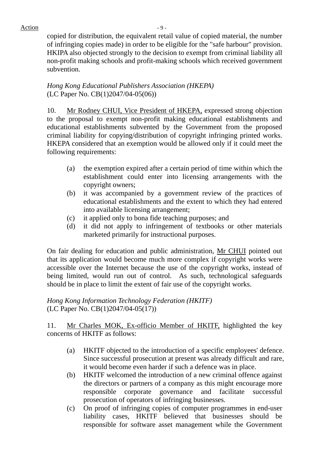$Action$   $-9-$ 

copied for distribution, the equivalent retail value of copied material, the number of infringing copies made) in order to be eligible for the "safe harbour" provision. HKIPA also objected strongly to the decision to exempt from criminal liability all non-profit making schools and profit-making schools which received government subvention.

## *Hong Kong Educational Publishers Association (HKEPA)*  (LC Paper No. CB(1)2047/04-05(06))

10. Mr Rodney CHUI, Vice President of HKEPA, expressed strong objection to the proposal to exempt non-profit making educational establishments and educational establishments subvented by the Government from the proposed criminal liability for copying/distribution of copyright infringing printed works. HKEPA considered that an exemption would be allowed only if it could meet the following requirements:

- (a) the exemption expired after a certain period of time within which the establishment could enter into licensing arrangements with the copyright owners;
- (b) it was accompanied by a government review of the practices of educational establishments and the extent to which they had entered into available licensing arrangement;
- (c) it applied only to bona fide teaching purposes; and
- (d) it did not apply to infringement of textbooks or other materials marketed primarily for instructional purposes.

On fair dealing for education and public administration, Mr CHUI pointed out that its application would become much more complex if copyright works were accessible over the Internet because the use of the copyright works, instead of being limited, would run out of control. As such, technological safeguards should be in place to limit the extent of fair use of the copyright works.

# *Hong Kong Information Technology Federation (HKITF)*  (LC Paper No. CB(1)2047/04-05(17))

11. Mr Charles MOK, Ex-officio Member of HKITF, highlighted the key concerns of HKITF as follows:

- (a) HKITF objected to the introduction of a specific employees' defence. Since successful prosecution at present was already difficult and rare, it would become even harder if such a defence was in place.
- (b) HKITF welcomed the introduction of a new criminal offence against the directors or partners of a company as this might encourage more responsible corporate governance and facilitate successful prosecution of operators of infringing businesses.
- (c) On proof of infringing copies of computer programmes in end-user liability cases, HKITF believed that businesses should be responsible for software asset management while the Government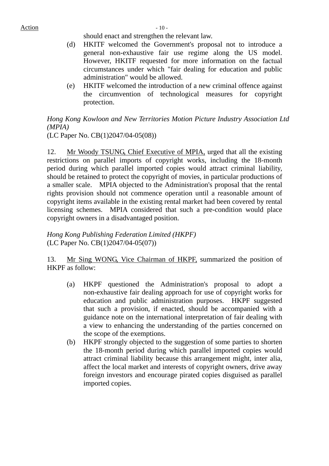should enact and strengthen the relevant law.

- (d) HKITF welcomed the Government's proposal not to introduce a general non-exhaustive fair use regime along the US model. However, HKITF requested for more information on the factual circumstances under which "fair dealing for education and public administration" would be allowed.
- (e) HKITF welcomed the introduction of a new criminal offence against the circumvention of technological measures for copyright protection.

*Hong Kong Kowloon and New Territories Motion Picture Industry Association Ltd (MPIA)*

(LC Paper No. CB(1)2047/04-05(08))

12. Mr Woody TSUNG, Chief Executive of MPIA, urged that all the existing restrictions on parallel imports of copyright works, including the 18-month period during which parallel imported copies would attract criminal liability, should be retained to protect the copyright of movies, in particular productions of a smaller scale. MPIA objected to the Administration's proposal that the rental rights provision should not commence operation until a reasonable amount of copyright items available in the existing rental market had been covered by rental licensing schemes. MPIA considered that such a pre-condition would place copyright owners in a disadvantaged position.

 *Hong Kong Publishing Federation Limited (HKPF)*  (LC Paper No. CB(1)2047/04-05(07))

13. Mr Sing WONG, Vice Chairman of HKPF, summarized the position of HKPF as follow:

- (a) HKPF questioned the Administration's proposal to adopt a non-exhaustive fair dealing approach for use of copyright works for education and public administration purposes. HKPF suggested that such a provision, if enacted, should be accompanied with a guidance note on the international interpretation of fair dealing with a view to enhancing the understanding of the parties concerned on the scope of the exemptions.
- (b) HKPF strongly objected to the suggestion of some parties to shorten the 18-month period during which parallel imported copies would attract criminal liability because this arrangement might, inter alia, affect the local market and interests of copyright owners, drive away foreign investors and encourage pirated copies disguised as parallel imported copies.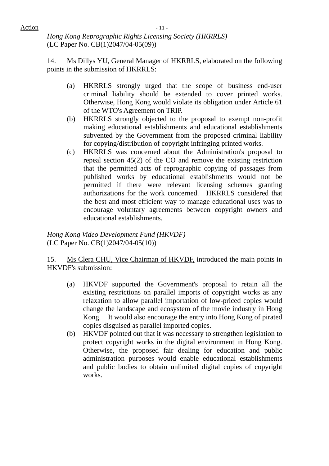*Hong Kong Reprographic Rights Licensing Society (HKRRLS)*  (LC Paper No. CB(1)2047/04-05(09))

14. Ms Dillys YU, General Manager of HKRRLS, elaborated on the following points in the submission of HKRRLS:

- (a) HKRRLS strongly urged that the scope of business end-user criminal liability should be extended to cover printed works. Otherwise, Hong Kong would violate its obligation under Article 61 of the WTO's Agreement on TRIP.
- (b) HKRRLS strongly objected to the proposal to exempt non-profit making educational establishments and educational establishments subvented by the Government from the proposed criminal liability for copying/distribution of copyright infringing printed works.
- (c) HKRRLS was concerned about the Administration's proposal to repeal section 45(2) of the CO and remove the existing restriction that the permitted acts of reprographic copying of passages from published works by educational establishments would not be permitted if there were relevant licensing schemes granting authorizations for the work concerned. HKRRLS considered that the best and most efficient way to manage educational uses was to encourage voluntary agreements between copyright owners and educational establishments.

*Hong Kong Video Development Fund (HKVDF)*  (LC Paper No. CB(1)2047/04-05(10))

15. Ms Clera CHU, Vice Chairman of HKVDF, introduced the main points in HKVDF's submission:

- (a) HKVDF supported the Government's proposal to retain all the existing restrictions on parallel imports of copyright works as any relaxation to allow parallel importation of low-priced copies would change the landscape and ecosystem of the movie industry in Hong Kong. It would also encourage the entry into Hong Kong of pirated copies disguised as parallel imported copies.
- (b) HKVDF pointed out that it was necessary to strengthen legislation to protect copyright works in the digital environment in Hong Kong. Otherwise, the proposed fair dealing for education and public administration purposes would enable educational establishments and public bodies to obtain unlimited digital copies of copyright works.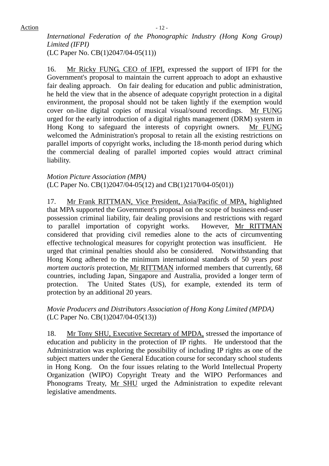*International Federation of the Phonographic Industry (Hong Kong Group) Limited (IFPI)* 

(LC Paper No. CB(1)2047/04-05(11))

16. Mr Ricky FUNG, CEO of IFPI, expressed the support of IFPI for the Government's proposal to maintain the current approach to adopt an exhaustive fair dealing approach. On fair dealing for education and public administration, he held the view that in the absence of adequate copyright protection in a digital environment, the proposal should not be taken lightly if the exemption would cover on-line digital copies of musical visual/sound recordings. Mr FUNG urged for the early introduction of a digital rights management (DRM) system in Hong Kong to safeguard the interests of copyright owners. Mr FUNG welcomed the Administration's proposal to retain all the existing restrictions on parallel imports of copyright works, including the 18-month period during which the commercial dealing of parallel imported copies would attract criminal liability.

*Motion Picture Association (MPA)*  (LC Paper No. CB(1)2047/04-05(12) and CB(1)2170/04-05(01))

17. Mr Frank RITTMAN, Vice President, Asia/Pacific of MPA, highlighted that MPA supported the Government's proposal on the scope of business end-user possession criminal liability, fair dealing provisions and restrictions with regard to parallel importation of copyright works. However, Mr RITTMAN considered that providing civil remedies alone to the acts of circumventing effective technological measures for copyright protection was insufficient. He urged that criminal penalties should also be considered. Notwithstanding that Hong Kong adhered to the minimum international standards of 50 years *post mortem auctoris* protection, Mr RITTMAN informed members that currently, 68 countries, including Japan, Singapore and Australia, provided a longer term of protection. The United States (US), for example, extended its term of protection by an additional 20 years.

*Movie Producers and Distributors Association of Hong Kong Limited (MPDA)*  (LC Paper No. CB(1)2047/04-05(13))

18. Mr Tony SHU, Executive Secretary of MPDA, stressed the importance of education and publicity in the protection of IP rights. He understood that the Administration was exploring the possibility of including IP rights as one of the subject matters under the General Education course for secondary school students in Hong Kong. On the four issues relating to the World Intellectual Property Organization (WIPO) Copyright Treaty and the WIPO Performances and Phonograms Treaty, Mr SHU urged the Administration to expedite relevant legislative amendments.

#### $Action - 12 -$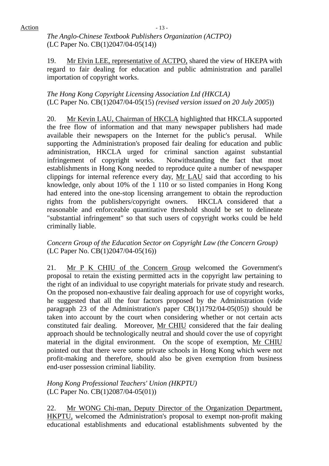*The Anglo-Chinese Textbook Publishers Organization (ACTPO)*  (LC Paper No. CB(1)2047/04-05(14))

19. Mr Elvin LEE, representative of ACTPO, shared the view of HKEPA with regard to fair dealing for education and public administration and parallel importation of copyright works.

## *The Hong Kong Copyright Licensing Association Ltd (HKCLA)*  (LC Paper No. CB(1)2047/04-05(15) *(revised version issued on 20 July 2005*))

20. Mr Kevin LAU, Chairman of HKCLA highlighted that HKCLA supported the free flow of information and that many newspaper publishers had made available their newspapers on the Internet for the public's perusal. While supporting the Administration's proposed fair dealing for education and public administration, HKCLA urged for criminal sanction against substantial infringement of copyright works. Notwithstanding the fact that most establishments in Hong Kong needed to reproduce quite a number of newspaper clippings for internal reference every day, Mr LAU said that according to his knowledge, only about 10% of the 1 110 or so listed companies in Hong Kong had entered into the one-stop licensing arrangement to obtain the reproduction rights from the publishers/copyright owners. HKCLA considered that a reasonable and enforceable quantitative threshold should be set to delineate "substantial infringement" so that such users of copyright works could be held criminally liable.

*Concern Group of the Education Sector on Copyright Law (the Concern Group)*  (LC Paper No. CB(1)2047/04-05(16))

21. Mr P K CHIU of the Concern Group welcomed the Government's proposal to retain the existing permitted acts in the copyright law pertaining to the right of an individual to use copyright materials for private study and research. On the proposed non-exhaustive fair dealing approach for use of copyright works, he suggested that all the four factors proposed by the Administration (vide paragraph 23 of the Administration's paper CB(1)1792/04-05(05)) should be taken into account by the court when considering whether or not certain acts constituted fair dealing. Moreover, Mr CHIU considered that the fair dealing approach should be technologically neutral and should cover the use of copyright material in the digital environment. On the scope of exemption, Mr CHIU pointed out that there were some private schools in Hong Kong which were not profit-making and therefore, should also be given exemption from business end-user possession criminal liability.

*Hong Kong Professional Teachers' Union (HKPTU)*  (LC Paper No. CB(1)2087/04-05(01))

22. Mr WONG Chi-man, Deputy Director of the Organization Department, HKPTU, welcomed the Administration's proposal to exempt non-profit making educational establishments and educational establishments subvented by the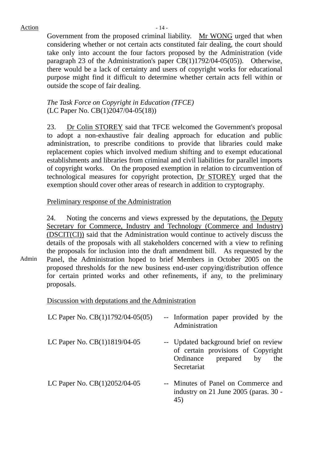$Action$   $-14$  -

Government from the proposed criminal liability. Mr WONG urged that when considering whether or not certain acts constituted fair dealing, the court should take only into account the four factors proposed by the Administration (vide paragraph 23 of the Administration's paper CB(1)1792/04-05(05)). Otherwise, there would be a lack of certainty and users of copyright works for educational purpose might find it difficult to determine whether certain acts fell within or outside the scope of fair dealing.

## *The Task Force on Copyright in Education (TFCE)*  (LC Paper No. CB(1)2047/04-05(18))

23. Dr Colin STOREY said that TFCE welcomed the Government's proposal to adopt a non-exhaustive fair dealing approach for education and public administration, to prescribe conditions to provide that libraries could make replacement copies which involved medium shifting and to exempt educational establishments and libraries from criminal and civil liabilities for parallel imports of copyright works. On the proposed exemption in relation to circumvention of technological measures for copyright protection, Dr STOREY urged that the exemption should cover other areas of research in addition to cryptography.

# Preliminary response of the Administration

24. Noting the concerns and views expressed by the deputations, the Deputy Secretary for Commerce, Industry and Technology (Commerce and Industry) (DSCIT(CI)) said that the Administration would continue to actively discuss the details of the proposals with all stakeholders concerned with a view to refining the proposals for inclusion into the draft amendment bill. As requested by the Panel, the Administration hoped to brief Members in October 2005 on the proposed thresholds for the new business end-user copying/distribution offence for certain printed works and other refinements, if any, to the preliminary proposals.

Discussion with deputations and the Administration

| LC Paper No. $CB(1)1792/04-05(05)$ | -- Information paper provided by the<br>Administration                                                                        |
|------------------------------------|-------------------------------------------------------------------------------------------------------------------------------|
| LC Paper No. CB(1)1819/04-05       | -- Updated background brief on review<br>of certain provisions of Copyright<br>Ordinance prepared<br>by<br>the<br>Secretariat |
| LC Paper No. CB(1)2052/04-05       | -- Minutes of Panel on Commerce and<br>industry on 21 June 2005 (paras. 30 -<br>45)                                           |

Admin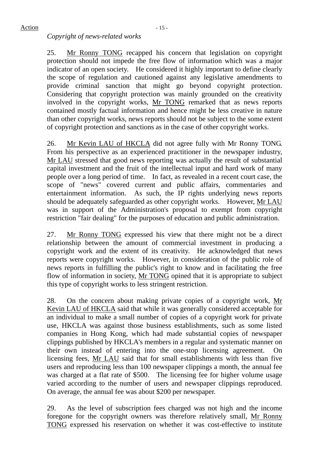## *Copyright of news-related works*

25. Mr Ronny TONG recapped his concern that legislation on copyright protection should not impede the free flow of information which was a major indicator of an open society. He considered it highly important to define clearly the scope of regulation and cautioned against any legislative amendments to provide criminal sanction that might go beyond copyright protection. Considering that copyright protection was mainly grounded on the creativity involved in the copyright works, Mr TONG remarked that as news reports contained mostly factual information and hence might be less creative in nature than other copyright works, news reports should not be subject to the some extent of copyright protection and sanctions as in the case of other copyright works.

26. Mr Kevin LAU of HKCLA did not agree fully with Mr Ronny TONG. From his perspective as an experienced practitioner in the newspaper industry, Mr LAU stressed that good news reporting was actually the result of substantial capital investment and the fruit of the intellectual input and hard work of many people over a long period of time. In fact, as revealed in a recent court case, the scope of "news" covered current and public affairs, commentaries and entertainment information. As such, the IP rights underlying news reports should be adequately safeguarded as other copyright works. However, Mr LAU was in support of the Administration's proposal to exempt from copyright restriction "fair dealing" for the purposes of education and public administration.

27. Mr Ronny TONG expressed his view that there might not be a direct relationship between the amount of commercial investment in producing a copyright work and the extent of its creativity. He acknowledged that news reports were copyright works. However, in consideration of the public role of news reports in fulfilling the public's right to know and in facilitating the free flow of information in society, Mr TONG opined that it is appropriate to subject this type of copyright works to less stringent restriction.

28. On the concern about making private copies of a copyright work, Mr Kevin LAU of HKCLA said that while it was generally considered acceptable for an individual to make a small number of copies of a copyright work for private use, HKCLA was against those business establishments, such as some listed companies in Hong Kong, which had made substantial copies of newspaper clippings published by HKCLA's members in a regular and systematic manner on their own instead of entering into the one-stop licensing agreement. On licensing fees, Mr LAU said that for small establishments with less than five users and reproducing less than 100 newspaper clippings a month, the annual fee was charged at a flat rate of \$500. The licensing fee for higher volume usage varied according to the number of users and newspaper clippings reproduced. On average, the annual fee was about \$200 per newspaper.

29. As the level of subscription fees charged was not high and the income foregone for the copyright owners was therefore relatively small, Mr Ronny TONG expressed his reservation on whether it was cost-effective to institute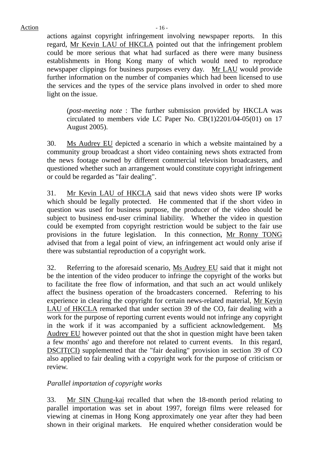$Action - 16 -$ 

actions against copyright infringement involving newspaper reports. In this regard, Mr Kevin LAU of HKCLA pointed out that the infringement problem could be more serious that what had surfaced as there were many business establishments in Hong Kong many of which would need to reproduce newspaper clippings for business purposes every day. Mr LAU would provide further information on the number of companies which had been licensed to use the services and the types of the service plans involved in order to shed more light on the issue.

 (*post-meeting note* : The further submission provided by HKCLA was circulated to members vide LC Paper No. CB(1)2201/04-05(01) on 17 August 2005).

30. Ms Audrey EU depicted a scenario in which a website maintained by a community group broadcast a short video containing news shots extracted from the news footage owned by different commercial television broadcasters, and questioned whether such an arrangement would constitute copyright infringement or could be regarded as "fair dealing".

31. Mr Kevin LAU of HKCLA said that news video shots were IP works which should be legally protected. He commented that if the short video in question was used for business purpose, the producer of the video should be subject to business end-user criminal liability. Whether the video in question could be exempted from copyright restriction would be subject to the fair use provisions in the future legislation. In this connection, Mr Ronny TONG advised that from a legal point of view, an infringement act would only arise if there was substantial reproduction of a copyright work.

32. Referring to the aforesaid scenario, Ms Audrey EU said that it might not be the intention of the video producer to infringe the copyright of the works but to facilitate the free flow of information, and that such an act would unlikely affect the business operation of the broadcasters concerned. Referring to his experience in clearing the copyright for certain news-related material, Mr Kevin LAU of HKCLA remarked that under section 39 of the CO, fair dealing with a work for the purpose of reporting current events would not infringe any copyright in the work if it was accompanied by a sufficient acknowledgement. Ms Audrey EU however pointed out that the shot in question might have been taken a few months' ago and therefore not related to current events. In this regard, DSCIT(CI) supplemented that the "fair dealing" provision in section 39 of CO also applied to fair dealing with a copyright work for the purpose of criticism or review.

# *Parallel importation of copyright works*

33. Mr SIN Chung-kai recalled that when the 18-month period relating to parallel importation was set in about 1997, foreign films were released for viewing at cinemas in Hong Kong approximately one year after they had been shown in their original markets. He enquired whether consideration would be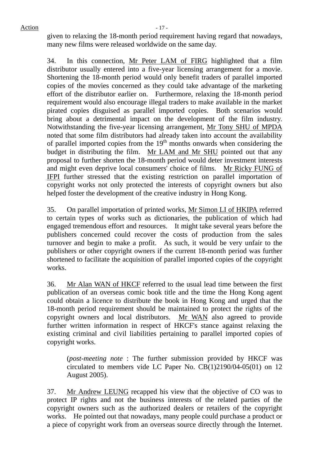given to relaxing the 18-month period requirement having regard that nowadays, many new films were released worldwide on the same day.

34. In this connection, Mr Peter LAM of FIRG highlighted that a film distributor usually entered into a five-year licensing arrangement for a movie. Shortening the 18-month period would only benefit traders of parallel imported copies of the movies concerned as they could take advantage of the marketing effort of the distributor earlier on. Furthermore, relaxing the 18-month period requirement would also encourage illegal traders to make available in the market pirated copies disguised as parallel imported copies. Both scenarios would bring about a detrimental impact on the development of the film industry. Notwithstanding the five-year licensing arrangement, Mr Tony SHU of MPDA noted that some film distributors had already taken into account the availability of parallel imported copies from the  $19<sup>th</sup>$  months onwards when considering the budget in distributing the film. Mr LAM and Mr SHU pointed out that any proposal to further shorten the 18-month period would deter investment interests and might even deprive local consumers' choice of films. Mr Ricky FUNG of IFPI further stressed that the existing restriction on parallel importation of copyright works not only protected the interests of copyright owners but also helped foster the development of the creative industry in Hong Kong.

35. On parallel importation of printed works, Mr Simon LI of HKIPA referred to certain types of works such as dictionaries, the publication of which had engaged tremendous effort and resources. It might take several years before the publishers concerned could recover the costs of production from the sales turnover and begin to make a profit. As such, it would be very unfair to the publishers or other copyright owners if the current 18-month period was further shortened to facilitate the acquisition of parallel imported copies of the copyright works.

36. Mr Alan WAN of HKCF referred to the usual lead time between the first publication of an overseas comic book title and the time the Hong Kong agent could obtain a licence to distribute the book in Hong Kong and urged that the 18-month period requirement should be maintained to protect the rights of the copyright owners and local distributors. Mr WAN also agreed to provide further written information in respect of HKCF's stance against relaxing the existing criminal and civil liabilities pertaining to parallel imported copies of copyright works.

(*post-meeting note* : The further submission provided by HKCF was circulated to members vide LC Paper No. CB(1)2190/04-05(01) on 12 August 2005).

37. Mr Andrew LEUNG recapped his view that the objective of CO was to protect IP rights and not the business interests of the related parties of the copyright owners such as the authorized dealers or retailers of the copyright works. He pointed out that nowadays, many people could purchase a product or a piece of copyright work from an overseas source directly through the Internet.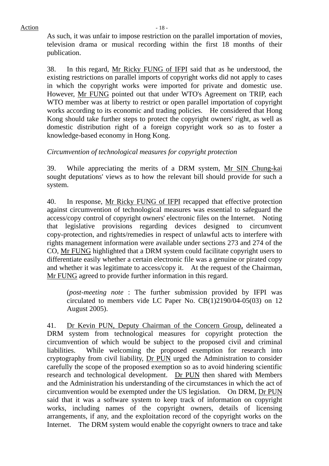As such, it was unfair to impose restriction on the parallel importation of movies, television drama or musical recording within the first 18 months of their publication.

38. In this regard, Mr Ricky FUNG of IFPI said that as he understood, the existing restrictions on parallel imports of copyright works did not apply to cases in which the copyright works were imported for private and domestic use. However, Mr FUNG pointed out that under WTO's Agreement on TRIP, each WTO member was at liberty to restrict or open parallel importation of copyright works according to its economic and trading policies. He considered that Hong Kong should take further steps to protect the copyright owners' right, as well as domestic distribution right of a foreign copyright work so as to foster a knowledge-based economy in Hong Kong.

# *Circumvention of technological measures for copyright protection*

39. While appreciating the merits of a DRM system, Mr SIN Chung-kai sought deputations' views as to how the relevant bill should provide for such a system.

40. In response, Mr Ricky FUNG of IFPI recapped that effective protection against circumvention of technological measures was essential to safeguard the access/copy control of copyright owners' electronic files on the Internet. Noting that legislative provisions regarding devices designed to circumvent copy-protection, and rights/remedies in respect of unlawful acts to interfere with rights management information were available under sections 273 and 274 of the CO, Mr FUNG highlighted that a DRM system could facilitate copyright users to differentiate easily whether a certain electronic file was a genuine or pirated copy and whether it was legitimate to access/copy it. At the request of the Chairman, Mr FUNG agreed to provide further information in this regard.

(*post-meeting note* : The further submission provided by IFPI was circulated to members vide LC Paper No. CB(1)2190/04-05(03) on 12 August 2005).

41. Dr Kevin PUN, Deputy Chairman of the Concern Group, delineated a DRM system from technological measures for copyright protection the circumvention of which would be subject to the proposed civil and criminal liabilities. While welcoming the proposed exemption for research into cryptography from civil liability, Dr PUN urged the Administration to consider carefully the scope of the proposed exemption so as to avoid hindering scientific research and technological development. Dr PUN then shared with Members and the Administration his understanding of the circumstances in which the act of circumvention would be exempted under the US legislation. On DRM, Dr PUN said that it was a software system to keep track of information on copyright works, including names of the copyright owners, details of licensing arrangements, if any, and the exploitation record of the copyright works on the Internet. The DRM system would enable the copyright owners to trace and take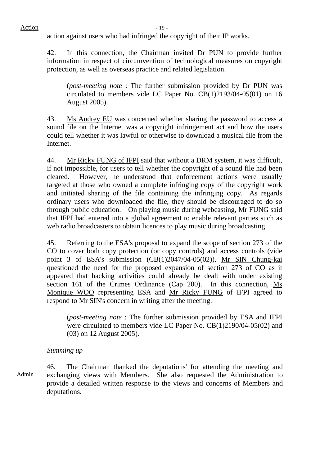action against users who had infringed the copyright of their IP works.

42. In this connection, the Chairman invited Dr PUN to provide further information in respect of circumvention of technological measures on copyright protection, as well as overseas practice and related legislation.

(*post-meeting note* : The further submission provided by Dr PUN was circulated to members vide LC Paper No. CB(1)2193/04-05(01) on 16 August 2005).

43. Ms Audrey EU was concerned whether sharing the password to access a sound file on the Internet was a copyright infringement act and how the users could tell whether it was lawful or otherwise to download a musical file from the Internet.

44. Mr Ricky FUNG of IFPI said that without a DRM system, it was difficult, if not impossible, for users to tell whether the copyright of a sound file had been cleared. However, he understood that enforcement actions were usually targeted at those who owned a complete infringing copy of the copyright work and initiated sharing of the file containing the infringing copy. As regards ordinary users who downloaded the file, they should be discouraged to do so through public education. On playing music during webcasting, Mr FUNG said that IFPI had entered into a global agreement to enable relevant parties such as web radio broadcasters to obtain licences to play music during broadcasting.

45. Referring to the ESA's proposal to expand the scope of section 273 of the CO to cover both copy protection (or copy controls) and access controls (vide point 3 of ESA's submission (CB(1)2047/04-05(02)), Mr SIN Chung-kai questioned the need for the proposed expansion of section 273 of CO as it appeared that hacking activities could already be dealt with under existing section 161 of the Crimes Ordinance (Cap 200). In this connection, Ms Monique WOO representing ESA and Mr Ricky FUNG of IFPI agreed to respond to Mr SIN's concern in writing after the meeting.

(*post-meeting note* : The further submission provided by ESA and IFPI were circulated to members vide LC Paper No. CB(1)2190/04-05(02) and (03) on 12 August 2005).

## *Summing up*

Admin 46. The Chairman thanked the deputations' for attending the meeting and exchanging views with Members. She also requested the Administration to provide a detailed written response to the views and concerns of Members and deputations.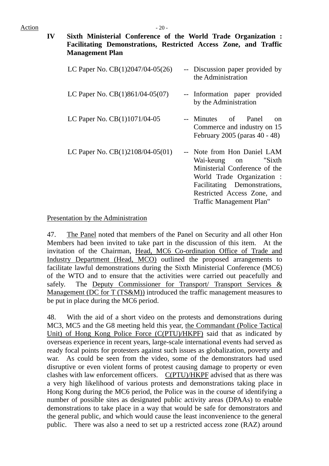**IV Sixth Ministerial Conference of the World Trade Organization : Facilitating Demonstrations, Restricted Access Zone, and Traffic Management Plan** 

| LC Paper No. $CB(1)2047/04-05(26)$ | -- Discussion paper provided by<br>the Administration                                                                                                                                                                |
|------------------------------------|----------------------------------------------------------------------------------------------------------------------------------------------------------------------------------------------------------------------|
| LC Paper No. $CB(1)861/04-05(07)$  | -- Information paper provided<br>by the Administration                                                                                                                                                               |
| LC Paper No. CB(1)1071/04-05       | -- Minutes of<br>Panel<br><sub>on</sub><br>Commerce and industry on 15<br>February 2005 (paras $40 - 48$ )                                                                                                           |
| LC Paper No. $CB(1)2108/04-05(01)$ | -- Note from Hon Daniel LAM<br>Wai-keung on "Sixth"<br>Ministerial Conference of the<br>World Trade Organization :<br>Facilitating Demonstrations,<br>Restricted Access Zone, and<br><b>Traffic Management Plan"</b> |

#### Presentation by the Administration

47. The Panel noted that members of the Panel on Security and all other Hon Members had been invited to take part in the discussion of this item. At the invitation of the Chairman, Head, MC6 Co-ordination Office of Trade and Industry Department (Head, MCO) outlined the proposed arrangements to facilitate lawful demonstrations during the Sixth Ministerial Conference (MC6) of the WTO and to ensure that the activities were carried out peacefully and safely. The Deputy Commissioner for Transport/ Transport Services & Management (DC for T (TS&M)) introduced the traffic management measures to be put in place during the MC6 period.

48. With the aid of a short video on the protests and demonstrations during MC3, MC5 and the G8 meeting held this year, the Commandant (Police Tactical Unit) of Hong Kong Police Force (C(PTU)/HKPF) said that as indicated by overseas experience in recent years, large-scale international events had served as ready focal points for protesters against such issues as globalization, poverty and war. As could be seen from the video, some of the demonstrators had used disruptive or even violent forms of protest causing damage to property or even clashes with law enforcement officers. C(PTU)/HKPF advised that as there was a very high likelihood of various protests and demonstrations taking place in Hong Kong during the MC6 period, the Police was in the course of identifying a number of possible sites as designated public activity areas (DPAAs) to enable demonstrations to take place in a way that would be safe for demonstrators and the general public, and which would cause the least inconvenience to the general public. There was also a need to set up a restricted access zone (RAZ) around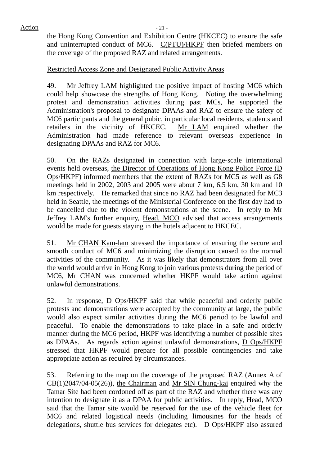$Action - 21 -$ 

the Hong Kong Convention and Exhibition Centre (HKCEC) to ensure the safe and uninterrupted conduct of MC6. C(PTU)/HKPF then briefed members on the coverage of the proposed RAZ and related arrangements.

# Restricted Access Zone and Designated Public Activity Areas

49. Mr Jeffrey LAM highlighted the positive impact of hosting MC6 which could help showcase the strengths of Hong Kong. Noting the overwhelming protest and demonstration activities during past MCs, he supported the Administration's proposal to designate DPAAs and RAZ to ensure the safety of MC6 participants and the general pubic, in particular local residents, students and retailers in the vicinity of HKCEC. Mr LAM enquired whether the Administration had made reference to relevant overseas experience in designating DPAAs and RAZ for MC6.

50. On the RAZs designated in connection with large-scale international events held overseas, the Director of Operations of Hong Kong Police Force (D Ops/HKPF) informed members that the extent of RAZs for MC5 as well as G8 meetings held in 2002, 2003 and 2005 were about 7 km, 6.5 km, 30 km and 10 km respectively. He remarked that since no RAZ had been designated for MC3 held in Seattle, the meetings of the Ministerial Conference on the first day had to be cancelled due to the violent demonstrations at the scene. In reply to Mr Jeffrey LAM's further enquiry, Head, MCO advised that access arrangements would be made for guests staying in the hotels adjacent to HKCEC.

51. Mr CHAN Kam-lam stressed the importance of ensuring the secure and smooth conduct of MC6 and minimizing the disruption caused to the normal activities of the community. As it was likely that demonstrators from all over the world would arrive in Hong Kong to join various protests during the period of MC6, Mr CHAN was concerned whether HKPF would take action against unlawful demonstrations.

52. In response, D Ops/HKPF said that while peaceful and orderly public protests and demonstrations were accepted by the community at large, the public would also expect similar activities during the MC6 period to be lawful and peaceful. To enable the demonstrations to take place in a safe and orderly manner during the MC6 period, HKPF was identifying a number of possible sites as DPAAs. As regards action against unlawful demonstrations, D Ops/HKPF stressed that HKPF would prepare for all possible contingencies and take appropriate action as required by circumstances.

53. Referring to the map on the coverage of the proposed RAZ (Annex A of CB(1)2047/04-05(26)), the Chairman and Mr SIN Chung-kai enquired why the Tamar Site had been cordoned off as part of the RAZ and whether there was any intention to designate it as a DPAA for public activities. In reply, Head, MCO said that the Tamar site would be reserved for the use of the vehicle fleet for MC6 and related logistical needs (including limousines for the heads of delegations, shuttle bus services for delegates etc). D Ops/HKPF also assured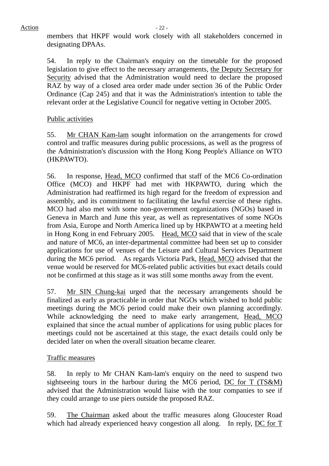members that HKPF would work closely with all stakeholders concerned in designating DPAAs.

54. In reply to the Chairman's enquiry on the timetable for the proposed legislation to give effect to the necessary arrangements, the Deputy Secretary for Security advised that the Administration would need to declare the proposed RAZ by way of a closed area order made under section 36 of the Public Order Ordinance (Cap 245) and that it was the Administration's intention to table the relevant order at the Legislative Council for negative vetting in October 2005.

# Public activities

55. Mr CHAN Kam-lam sought information on the arrangements for crowd control and traffic measures during public processions, as well as the progress of the Administration's discussion with the Hong Kong People's Alliance on WTO (HKPAWTO).

56. In response, Head, MCO confirmed that staff of the MC6 Co-ordination Office (MCO) and HKPF had met with HKPAWTO, during which the Administration had reaffirmed its high regard for the freedom of expression and assembly, and its commitment to facilitating the lawful exercise of these rights. MCO had also met with some non-government organizations (NGOs) based in Geneva in March and June this year, as well as representatives of some NGOs from Asia, Europe and North America lined up by HKPAWTO at a meeting held in Hong Kong in end February 2005. Head, MCO said that in view of the scale and nature of MC6, an inter-departmental committee had been set up to consider applications for use of venues of the Leisure and Cultural Services Department during the MC6 period. As regards Victoria Park, Head, MCO advised that the venue would be reserved for MC6-related public activities but exact details could not be confirmed at this stage as it was still some months away from the event.

57. Mr SIN Chung-kai urged that the necessary arrangements should be finalized as early as practicable in order that NGOs which wished to hold public meetings during the MC6 period could make their own planning accordingly. While acknowledging the need to make early arrangement, Head, MCO explained that since the actual number of applications for using public places for meetings could not be ascertained at this stage, the exact details could only be decided later on when the overall situation became clearer.

# Traffic measures

58. In reply to Mr CHAN Kam-lam's enquiry on the need to suspend two sightseeing tours in the harbour during the MC6 period, <u>DC for T (TS&M)</u> advised that the Administration would liaise with the tour companies to see if they could arrange to use piers outside the proposed RAZ.

59. The Chairman asked about the traffic measures along Gloucester Road which had already experienced heavy congestion all along. In reply, DC for T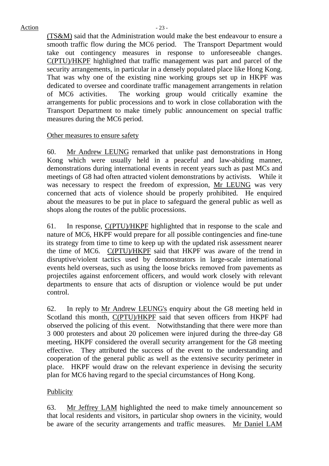(TS&M) said that the Administration would make the best endeavour to ensure a smooth traffic flow during the MC6 period. The Transport Department would take out contingency measures in response to unforeseeable changes. C(PTU)/HKPF highlighted that traffic management was part and parcel of the security arrangements, in particular in a densely populated place like Hong Kong. That was why one of the existing nine working groups set up in HKPF was dedicated to oversee and coordinate traffic management arrangements in relation of MC6 activities. The working group would critically examine the arrangements for public processions and to work in close collaboration with the Transport Department to make timely public announcement on special traffic measures during the MC6 period.

## Other measures to ensure safety

60. Mr Andrew LEUNG remarked that unlike past demonstrations in Hong Kong which were usually held in a peaceful and law-abiding manner, demonstrations during international events in recent years such as past MCs and meetings of G8 had often attracted violent demonstrations by activists. While it was necessary to respect the freedom of expression, Mr LEUNG was very concerned that acts of violence should be properly prohibited. He enquired about the measures to be put in place to safeguard the general public as well as shops along the routes of the public processions.

61. In response,  $C(PTU)/HKPF$  highlighted that in response to the scale and nature of MC6, HKPF would prepare for all possible contingencies and fine-tune its strategy from time to time to keep up with the updated risk assessment nearer the time of MC6. C(PTU)/HKPF said that HKPF was aware of the trend in disruptive/violent tactics used by demonstrators in large-scale international events held overseas, such as using the loose bricks removed from pavements as projectiles against enforcement officers, and would work closely with relevant departments to ensure that acts of disruption or violence would be put under control.

62. In reply to Mr Andrew LEUNG's enquiry about the G8 meeting held in Scotland this month, C(PTU)/HKPF said that seven officers from HKPF had observed the policing of this event. Notwithstanding that there were more than 3 000 protesters and about 20 policemen were injured during the three-day G8 meeting, HKPF considered the overall security arrangement for the G8 meeting effective. They attributed the success of the event to the understanding and cooperation of the general public as well as the extensive security perimeter in place. HKPF would draw on the relevant experience in devising the security plan for MC6 having regard to the special circumstances of Hong Kong.

# Publicity

63. Mr Jeffrey LAM highlighted the need to make timely announcement so that local residents and visitors, in particular shop owners in the vicinity, would be aware of the security arrangements and traffic measures. Mr Daniel LAM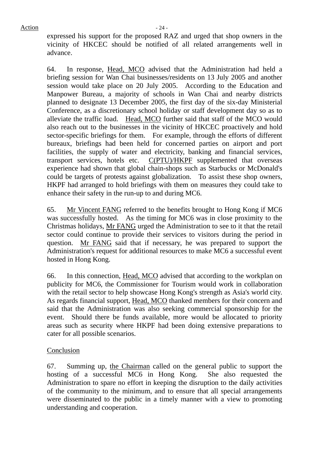expressed his support for the proposed RAZ and urged that shop owners in the vicinity of HKCEC should be notified of all related arrangements well in advance.

64. In response, Head, MCO advised that the Administration had held a briefing session for Wan Chai businesses/residents on 13 July 2005 and another session would take place on 20 July 2005. According to the Education and Manpower Bureau, a majority of schools in Wan Chai and nearby districts planned to designate 13 December 2005, the first day of the six-day Ministerial Conference, as a discretionary school holiday or staff development day so as to alleviate the traffic load. Head, MCO further said that staff of the MCO would also reach out to the businesses in the vicinity of HKCEC proactively and hold sector-specific briefings for them. For example, through the efforts of different bureaux, briefings had been held for concerned parties on airport and port facilities, the supply of water and electricity, banking and financial services, transport services, hotels etc. C(PTU)/HKPF supplemented that overseas experience had shown that global chain-shops such as Starbucks or McDonald's could be targets of protests against globalization. To assist these shop owners, HKPF had arranged to hold briefings with them on measures they could take to enhance their safety in the run-up to and during MC6.

65. Mr Vincent FANG referred to the benefits brought to Hong Kong if MC6 was successfully hosted. As the timing for MC6 was in close proximity to the Christmas holidays, Mr FANG urged the Administration to see to it that the retail sector could continue to provide their services to visitors during the period in question. Mr FANG said that if necessary, he was prepared to support the Administration's request for additional resources to make MC6 a successful event hosted in Hong Kong.

66. In this connection, Head, MCO advised that according to the workplan on publicity for MC6, the Commissioner for Tourism would work in collaboration with the retail sector to help showcase Hong Kong's strength as Asia's world city. As regards financial support, Head, MCO thanked members for their concern and said that the Administration was also seeking commercial sponsorship for the event. Should there be funds available, more would be allocated to priority areas such as security where HKPF had been doing extensive preparations to cater for all possible scenarios.

## Conclusion

67. Summing up, the Chairman called on the general public to support the hosting of a successful MC6 in Hong Kong. She also requested the Administration to spare no effort in keeping the disruption to the daily activities of the community to the minimum, and to ensure that all special arrangements were disseminated to the public in a timely manner with a view to promoting understanding and cooperation.